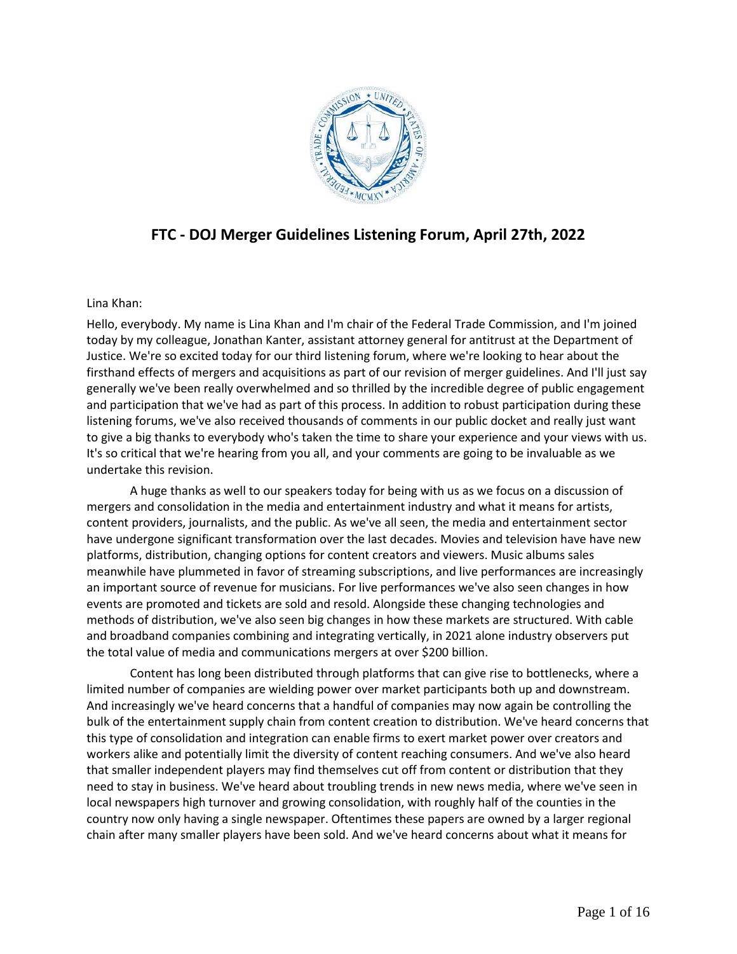

# **FTC - DOJ Merger Guidelines Listening Forum, April 27th, 2022**

# Lina Khan:

Hello, everybody. My name is Lina Khan and I'm chair of the Federal Trade Commission, and I'm joined today by my colleague, Jonathan Kanter, assistant attorney general for antitrust at the Department of Justice. We're so excited today for our third listening forum, where we're looking to hear about the firsthand effects of mergers and acquisitions as part of our revision of merger guidelines. And I'll just say generally we've been really overwhelmed and so thrilled by the incredible degree of public engagement and participation that we've had as part of this process. In addition to robust participation during these listening forums, we've also received thousands of comments in our public docket and really just want to give a big thanks to everybody who's taken the time to share your experience and your views with us. It's so critical that we're hearing from you all, and your comments are going to be invaluable as we undertake this revision.

A huge thanks as well to our speakers today for being with us as we focus on a discussion of mergers and consolidation in the media and entertainment industry and what it means for artists, content providers, journalists, and the public. As we've all seen, the media and entertainment sector have undergone significant transformation over the last decades. Movies and television have have new platforms, distribution, changing options for content creators and viewers. Music albums sales meanwhile have plummeted in favor of streaming subscriptions, and live performances are increasingly an important source of revenue for musicians. For live performances we've also seen changes in how events are promoted and tickets are sold and resold. Alongside these changing technologies and methods of distribution, we've also seen big changes in how these markets are structured. With cable and broadband companies combining and integrating vertically, in 2021 alone industry observers put the total value of media and communications mergers at over \$200 billion.

Content has long been distributed through platforms that can give rise to bottlenecks, where a limited number of companies are wielding power over market participants both up and downstream. And increasingly we've heard concerns that a handful of companies may now again be controlling the bulk of the entertainment supply chain from content creation to distribution. We've heard concerns that this type of consolidation and integration can enable firms to exert market power over creators and workers alike and potentially limit the diversity of content reaching consumers. And we've also heard that smaller independent players may find themselves cut off from content or distribution that they need to stay in business. We've heard about troubling trends in new news media, where we've seen in local newspapers high turnover and growing consolidation, with roughly half of the counties in the country now only having a single newspaper. Oftentimes these papers are owned by a larger regional chain after many smaller players have been sold. And we've heard concerns about what it means for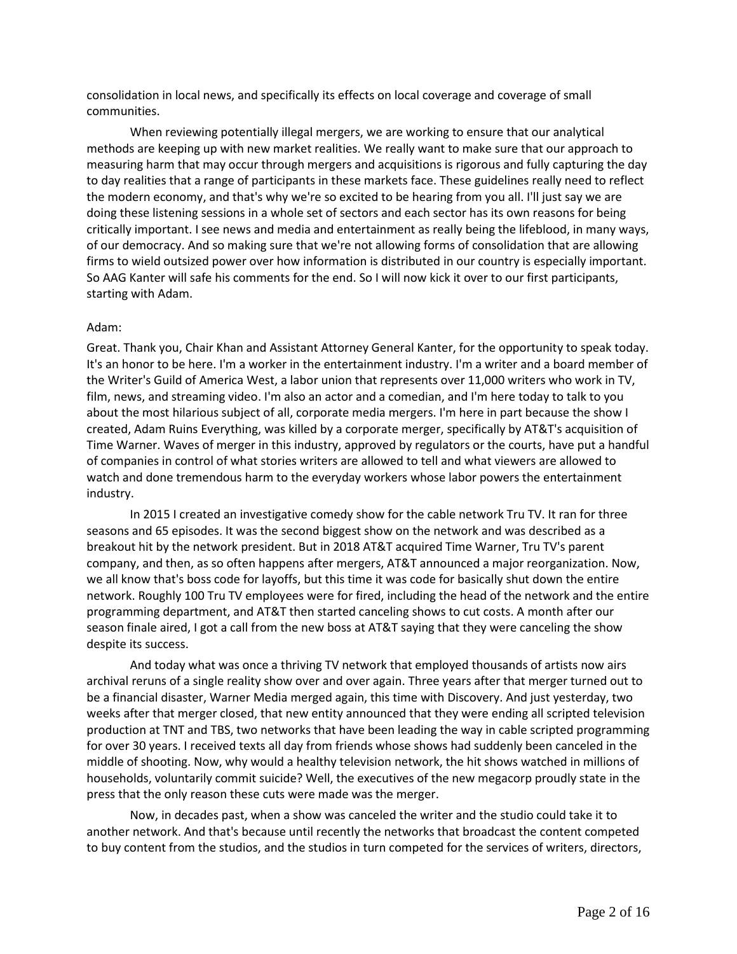consolidation in local news, and specifically its effects on local coverage and coverage of small communities.

When reviewing potentially illegal mergers, we are working to ensure that our analytical methods are keeping up with new market realities. We really want to make sure that our approach to measuring harm that may occur through mergers and acquisitions is rigorous and fully capturing the day to day realities that a range of participants in these markets face. These guidelines really need to reflect the modern economy, and that's why we're so excited to be hearing from you all. I'll just say we are doing these listening sessions in a whole set of sectors and each sector has its own reasons for being critically important. I see news and media and entertainment as really being the lifeblood, in many ways, of our democracy. And so making sure that we're not allowing forms of consolidation that are allowing firms to wield outsized power over how information is distributed in our country is especially important. So AAG Kanter will safe his comments for the end. So I will now kick it over to our first participants, starting with Adam.

## Adam:

Great. Thank you, Chair Khan and Assistant Attorney General Kanter, for the opportunity to speak today. It's an honor to be here. I'm a worker in the entertainment industry. I'm a writer and a board member of the Writer's Guild of America West, a labor union that represents over 11,000 writers who work in TV, film, news, and streaming video. I'm also an actor and a comedian, and I'm here today to talk to you about the most hilarious subject of all, corporate media mergers. I'm here in part because the show I created, Adam Ruins Everything, was killed by a corporate merger, specifically by AT&T's acquisition of Time Warner. Waves of merger in this industry, approved by regulators or the courts, have put a handful of companies in control of what stories writers are allowed to tell and what viewers are allowed to watch and done tremendous harm to the everyday workers whose labor powers the entertainment industry.

In 2015 I created an investigative comedy show for the cable network Tru TV. It ran for three seasons and 65 episodes. It was the second biggest show on the network and was described as a breakout hit by the network president. But in 2018 AT&T acquired Time Warner, Tru TV's parent company, and then, as so often happens after mergers, AT&T announced a major reorganization. Now, we all know that's boss code for layoffs, but this time it was code for basically shut down the entire network. Roughly 100 Tru TV employees were for fired, including the head of the network and the entire programming department, and AT&T then started canceling shows to cut costs. A month after our season finale aired, I got a call from the new boss at AT&T saying that they were canceling the show despite its success.

And today what was once a thriving TV network that employed thousands of artists now airs archival reruns of a single reality show over and over again. Three years after that merger turned out to be a financial disaster, Warner Media merged again, this time with Discovery. And just yesterday, two weeks after that merger closed, that new entity announced that they were ending all scripted television production at TNT and TBS, two networks that have been leading the way in cable scripted programming for over 30 years. I received texts all day from friends whose shows had suddenly been canceled in the middle of shooting. Now, why would a healthy television network, the hit shows watched in millions of households, voluntarily commit suicide? Well, the executives of the new megacorp proudly state in the press that the only reason these cuts were made was the merger.

Now, in decades past, when a show was canceled the writer and the studio could take it to another network. And that's because until recently the networks that broadcast the content competed to buy content from the studios, and the studios in turn competed for the services of writers, directors,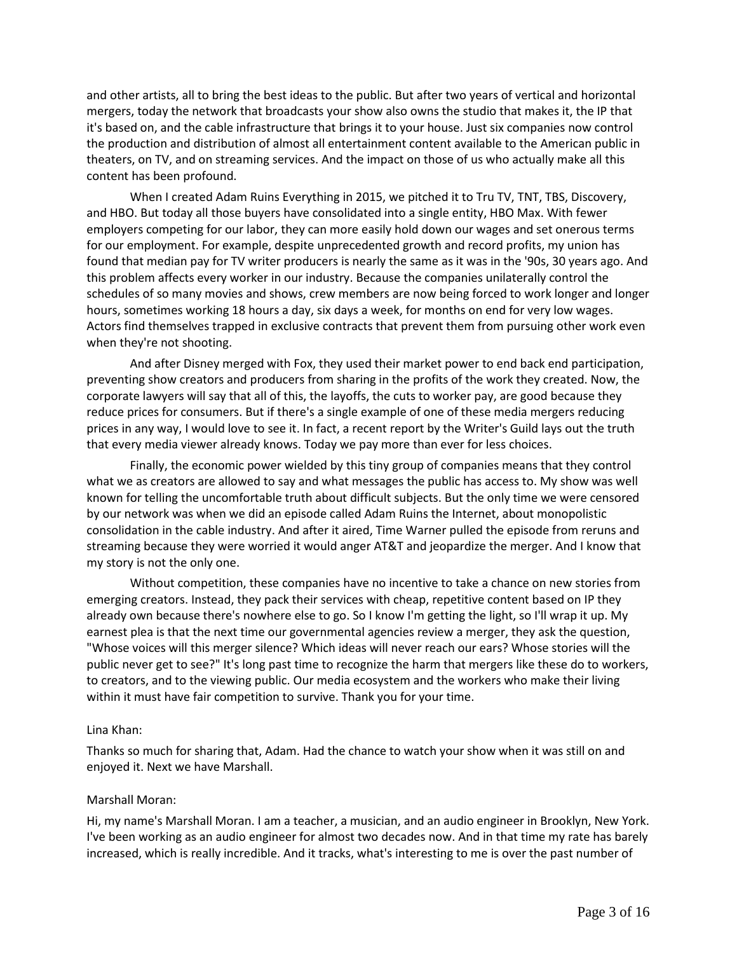and other artists, all to bring the best ideas to the public. But after two years of vertical and horizontal mergers, today the network that broadcasts your show also owns the studio that makes it, the IP that it's based on, and the cable infrastructure that brings it to your house. Just six companies now control the production and distribution of almost all entertainment content available to the American public in theaters, on TV, and on streaming services. And the impact on those of us who actually make all this content has been profound.

When I created Adam Ruins Everything in 2015, we pitched it to Tru TV, TNT, TBS, Discovery, and HBO. But today all those buyers have consolidated into a single entity, HBO Max. With fewer employers competing for our labor, they can more easily hold down our wages and set onerous terms for our employment. For example, despite unprecedented growth and record profits, my union has found that median pay for TV writer producers is nearly the same as it was in the '90s, 30 years ago. And this problem affects every worker in our industry. Because the companies unilaterally control the schedules of so many movies and shows, crew members are now being forced to work longer and longer hours, sometimes working 18 hours a day, six days a week, for months on end for very low wages. Actors find themselves trapped in exclusive contracts that prevent them from pursuing other work even when they're not shooting.

And after Disney merged with Fox, they used their market power to end back end participation, preventing show creators and producers from sharing in the profits of the work they created. Now, the corporate lawyers will say that all of this, the layoffs, the cuts to worker pay, are good because they reduce prices for consumers. But if there's a single example of one of these media mergers reducing prices in any way, I would love to see it. In fact, a recent report by the Writer's Guild lays out the truth that every media viewer already knows. Today we pay more than ever for less choices.

Finally, the economic power wielded by this tiny group of companies means that they control what we as creators are allowed to say and what messages the public has access to. My show was well known for telling the uncomfortable truth about difficult subjects. But the only time we were censored by our network was when we did an episode called Adam Ruins the Internet, about monopolistic consolidation in the cable industry. And after it aired, Time Warner pulled the episode from reruns and streaming because they were worried it would anger AT&T and jeopardize the merger. And I know that my story is not the only one.

Without competition, these companies have no incentive to take a chance on new stories from emerging creators. Instead, they pack their services with cheap, repetitive content based on IP they already own because there's nowhere else to go. So I know I'm getting the light, so I'll wrap it up. My earnest plea is that the next time our governmental agencies review a merger, they ask the question, "Whose voices will this merger silence? Which ideas will never reach our ears? Whose stories will the public never get to see?" It's long past time to recognize the harm that mergers like these do to workers, to creators, and to the viewing public. Our media ecosystem and the workers who make their living within it must have fair competition to survive. Thank you for your time.

#### Lina Khan:

Thanks so much for sharing that, Adam. Had the chance to watch your show when it was still on and enjoyed it. Next we have Marshall.

# Marshall Moran:

Hi, my name's Marshall Moran. I am a teacher, a musician, and an audio engineer in Brooklyn, New York. I've been working as an audio engineer for almost two decades now. And in that time my rate has barely increased, which is really incredible. And it tracks, what's interesting to me is over the past number of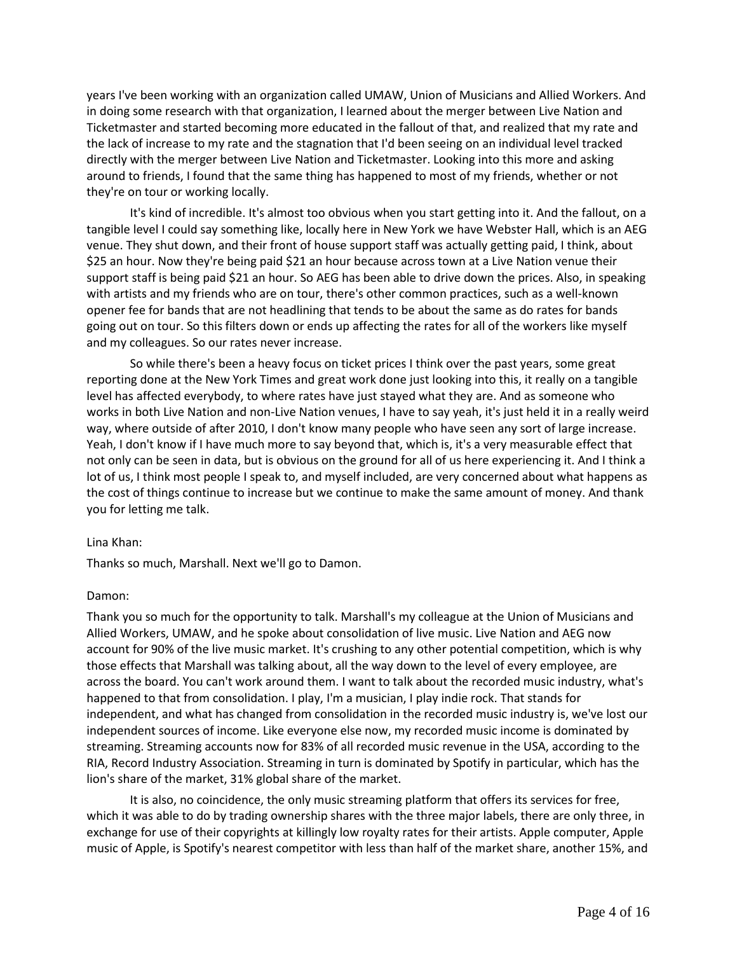years I've been working with an organization called UMAW, Union of Musicians and Allied Workers. And in doing some research with that organization, I learned about the merger between Live Nation and Ticketmaster and started becoming more educated in the fallout of that, and realized that my rate and the lack of increase to my rate and the stagnation that I'd been seeing on an individual level tracked directly with the merger between Live Nation and Ticketmaster. Looking into this more and asking around to friends, I found that the same thing has happened to most of my friends, whether or not they're on tour or working locally.

It's kind of incredible. It's almost too obvious when you start getting into it. And the fallout, on a tangible level I could say something like, locally here in New York we have Webster Hall, which is an AEG venue. They shut down, and their front of house support staff was actually getting paid, I think, about \$25 an hour. Now they're being paid \$21 an hour because across town at a Live Nation venue their support staff is being paid \$21 an hour. So AEG has been able to drive down the prices. Also, in speaking with artists and my friends who are on tour, there's other common practices, such as a well-known opener fee for bands that are not headlining that tends to be about the same as do rates for bands going out on tour. So this filters down or ends up affecting the rates for all of the workers like myself and my colleagues. So our rates never increase.

So while there's been a heavy focus on ticket prices I think over the past years, some great reporting done at the New York Times and great work done just looking into this, it really on a tangible level has affected everybody, to where rates have just stayed what they are. And as someone who works in both Live Nation and non-Live Nation venues, I have to say yeah, it's just held it in a really weird way, where outside of after 2010, I don't know many people who have seen any sort of large increase. Yeah, I don't know if I have much more to say beyond that, which is, it's a very measurable effect that not only can be seen in data, but is obvious on the ground for all of us here experiencing it. And I think a lot of us, I think most people I speak to, and myself included, are very concerned about what happens as the cost of things continue to increase but we continue to make the same amount of money. And thank you for letting me talk.

#### Lina Khan:

Thanks so much, Marshall. Next we'll go to Damon.

#### Damon:

Thank you so much for the opportunity to talk. Marshall's my colleague at the Union of Musicians and Allied Workers, UMAW, and he spoke about consolidation of live music. Live Nation and AEG now account for 90% of the live music market. It's crushing to any other potential competition, which is why those effects that Marshall was talking about, all the way down to the level of every employee, are across the board. You can't work around them. I want to talk about the recorded music industry, what's happened to that from consolidation. I play, I'm a musician, I play indie rock. That stands for independent, and what has changed from consolidation in the recorded music industry is, we've lost our independent sources of income. Like everyone else now, my recorded music income is dominated by streaming. Streaming accounts now for 83% of all recorded music revenue in the USA, according to the RIA, Record Industry Association. Streaming in turn is dominated by Spotify in particular, which has the lion's share of the market, 31% global share of the market.

It is also, no coincidence, the only music streaming platform that offers its services for free, which it was able to do by trading ownership shares with the three major labels, there are only three, in exchange for use of their copyrights at killingly low royalty rates for their artists. Apple computer, Apple music of Apple, is Spotify's nearest competitor with less than half of the market share, another 15%, and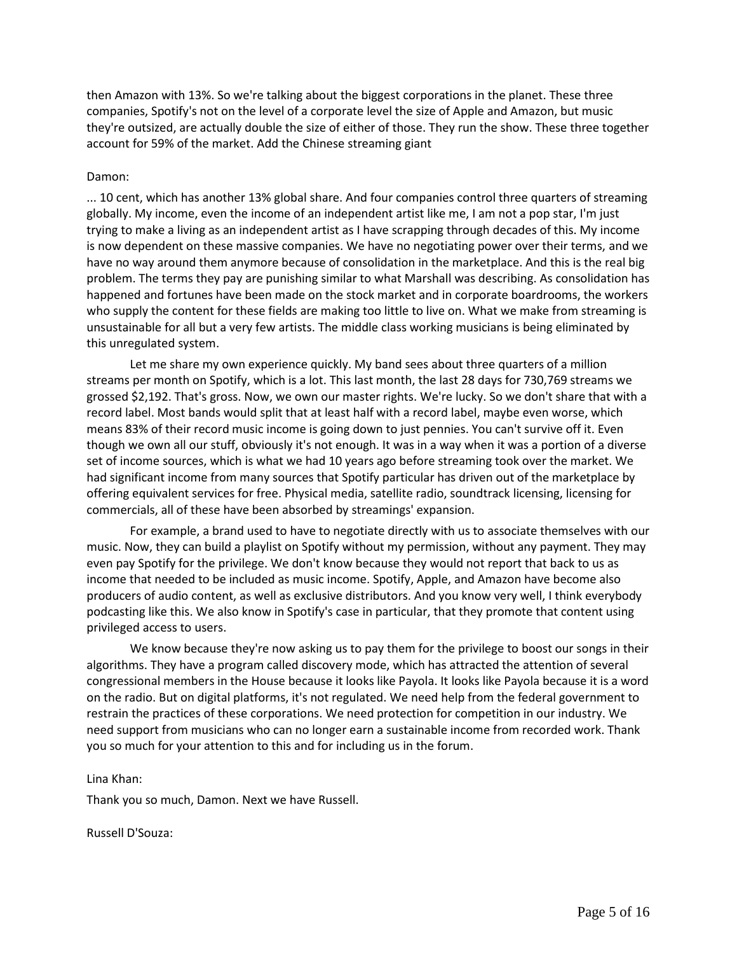then Amazon with 13%. So we're talking about the biggest corporations in the planet. These three companies, Spotify's not on the level of a corporate level the size of Apple and Amazon, but music they're outsized, are actually double the size of either of those. They run the show. These three together account for 59% of the market. Add the Chinese streaming giant

## Damon:

... 10 cent, which has another 13% global share. And four companies control three quarters of streaming globally. My income, even the income of an independent artist like me, I am not a pop star, I'm just trying to make a living as an independent artist as I have scrapping through decades of this. My income is now dependent on these massive companies. We have no negotiating power over their terms, and we have no way around them anymore because of consolidation in the marketplace. And this is the real big problem. The terms they pay are punishing similar to what Marshall was describing. As consolidation has happened and fortunes have been made on the stock market and in corporate boardrooms, the workers who supply the content for these fields are making too little to live on. What we make from streaming is unsustainable for all but a very few artists. The middle class working musicians is being eliminated by this unregulated system.

Let me share my own experience quickly. My band sees about three quarters of a million streams per month on Spotify, which is a lot. This last month, the last 28 days for 730,769 streams we grossed \$2,192. That's gross. Now, we own our master rights. We're lucky. So we don't share that with a record label. Most bands would split that at least half with a record label, maybe even worse, which means 83% of their record music income is going down to just pennies. You can't survive off it. Even though we own all our stuff, obviously it's not enough. It was in a way when it was a portion of a diverse set of income sources, which is what we had 10 years ago before streaming took over the market. We had significant income from many sources that Spotify particular has driven out of the marketplace by offering equivalent services for free. Physical media, satellite radio, soundtrack licensing, licensing for commercials, all of these have been absorbed by streamings' expansion.

For example, a brand used to have to negotiate directly with us to associate themselves with our music. Now, they can build a playlist on Spotify without my permission, without any payment. They may even pay Spotify for the privilege. We don't know because they would not report that back to us as income that needed to be included as music income. Spotify, Apple, and Amazon have become also producers of audio content, as well as exclusive distributors. And you know very well, I think everybody podcasting like this. We also know in Spotify's case in particular, that they promote that content using privileged access to users.

We know because they're now asking us to pay them for the privilege to boost our songs in their algorithms. They have a program called discovery mode, which has attracted the attention of several congressional members in the House because it looks like Payola. It looks like Payola because it is a word on the radio. But on digital platforms, it's not regulated. We need help from the federal government to restrain the practices of these corporations. We need protection for competition in our industry. We need support from musicians who can no longer earn a sustainable income from recorded work. Thank you so much for your attention to this and for including us in the forum.

# Lina Khan:

Thank you so much, Damon. Next we have Russell.

Russell D'Souza: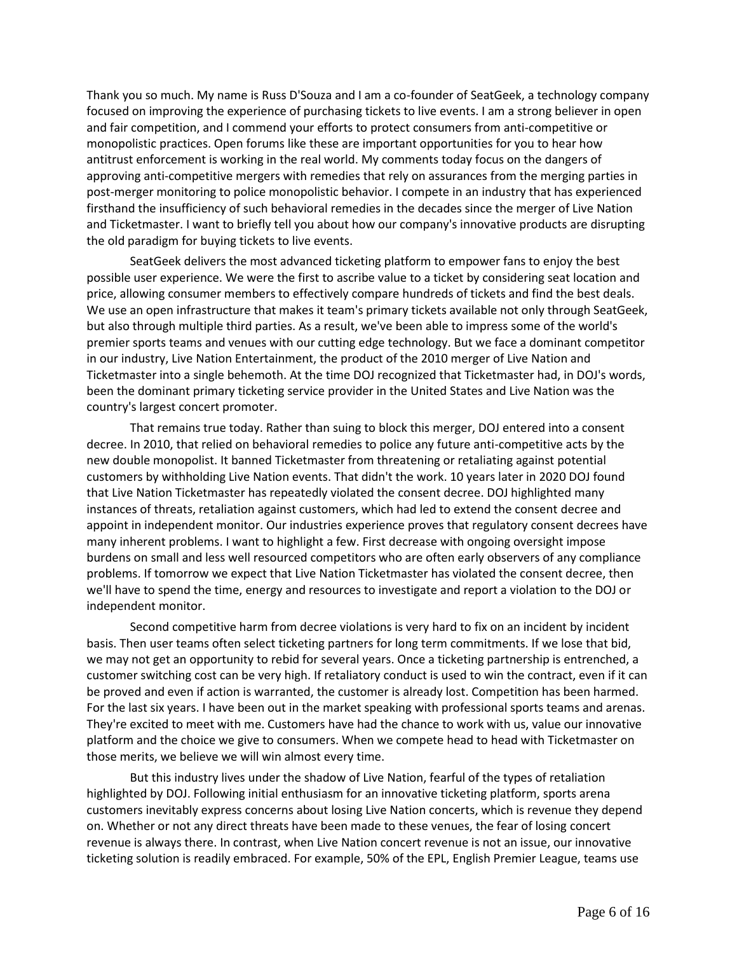Thank you so much. My name is Russ D'Souza and I am a co-founder of SeatGeek, a technology company focused on improving the experience of purchasing tickets to live events. I am a strong believer in open and fair competition, and I commend your efforts to protect consumers from anti-competitive or monopolistic practices. Open forums like these are important opportunities for you to hear how antitrust enforcement is working in the real world. My comments today focus on the dangers of approving anti-competitive mergers with remedies that rely on assurances from the merging parties in post-merger monitoring to police monopolistic behavior. I compete in an industry that has experienced firsthand the insufficiency of such behavioral remedies in the decades since the merger of Live Nation and Ticketmaster. I want to briefly tell you about how our company's innovative products are disrupting the old paradigm for buying tickets to live events.

SeatGeek delivers the most advanced ticketing platform to empower fans to enjoy the best possible user experience. We were the first to ascribe value to a ticket by considering seat location and price, allowing consumer members to effectively compare hundreds of tickets and find the best deals. We use an open infrastructure that makes it team's primary tickets available not only through SeatGeek, but also through multiple third parties. As a result, we've been able to impress some of the world's premier sports teams and venues with our cutting edge technology. But we face a dominant competitor in our industry, Live Nation Entertainment, the product of the 2010 merger of Live Nation and Ticketmaster into a single behemoth. At the time DOJ recognized that Ticketmaster had, in DOJ's words, been the dominant primary ticketing service provider in the United States and Live Nation was the country's largest concert promoter.

That remains true today. Rather than suing to block this merger, DOJ entered into a consent decree. In 2010, that relied on behavioral remedies to police any future anti-competitive acts by the new double monopolist. It banned Ticketmaster from threatening or retaliating against potential customers by withholding Live Nation events. That didn't the work. 10 years later in 2020 DOJ found that Live Nation Ticketmaster has repeatedly violated the consent decree. DOJ highlighted many instances of threats, retaliation against customers, which had led to extend the consent decree and appoint in independent monitor. Our industries experience proves that regulatory consent decrees have many inherent problems. I want to highlight a few. First decrease with ongoing oversight impose burdens on small and less well resourced competitors who are often early observers of any compliance problems. If tomorrow we expect that Live Nation Ticketmaster has violated the consent decree, then we'll have to spend the time, energy and resources to investigate and report a violation to the DOJ or independent monitor.

Second competitive harm from decree violations is very hard to fix on an incident by incident basis. Then user teams often select ticketing partners for long term commitments. If we lose that bid, we may not get an opportunity to rebid for several years. Once a ticketing partnership is entrenched, a customer switching cost can be very high. If retaliatory conduct is used to win the contract, even if it can be proved and even if action is warranted, the customer is already lost. Competition has been harmed. For the last six years. I have been out in the market speaking with professional sports teams and arenas. They're excited to meet with me. Customers have had the chance to work with us, value our innovative platform and the choice we give to consumers. When we compete head to head with Ticketmaster on those merits, we believe we will win almost every time.

But this industry lives under the shadow of Live Nation, fearful of the types of retaliation highlighted by DOJ. Following initial enthusiasm for an innovative ticketing platform, sports arena customers inevitably express concerns about losing Live Nation concerts, which is revenue they depend on. Whether or not any direct threats have been made to these venues, the fear of losing concert revenue is always there. In contrast, when Live Nation concert revenue is not an issue, our innovative ticketing solution is readily embraced. For example, 50% of the EPL, English Premier League, teams use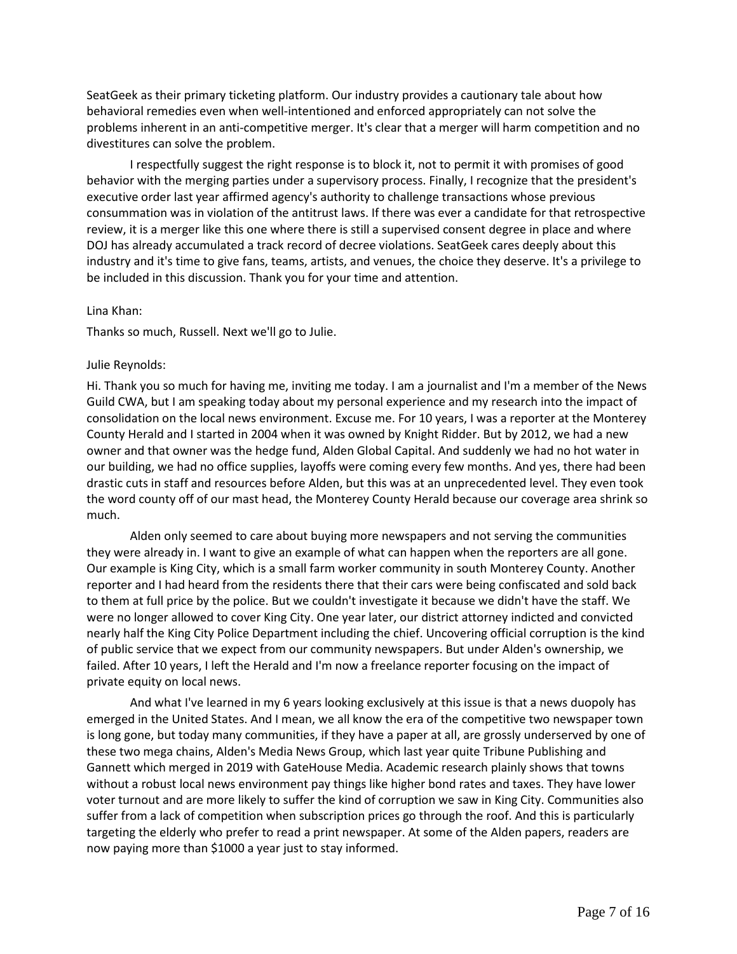SeatGeek as their primary ticketing platform. Our industry provides a cautionary tale about how behavioral remedies even when well-intentioned and enforced appropriately can not solve the problems inherent in an anti-competitive merger. It's clear that a merger will harm competition and no divestitures can solve the problem.

I respectfully suggest the right response is to block it, not to permit it with promises of good behavior with the merging parties under a supervisory process. Finally, I recognize that the president's executive order last year affirmed agency's authority to challenge transactions whose previous consummation was in violation of the antitrust laws. If there was ever a candidate for that retrospective review, it is a merger like this one where there is still a supervised consent degree in place and where DOJ has already accumulated a track record of decree violations. SeatGeek cares deeply about this industry and it's time to give fans, teams, artists, and venues, the choice they deserve. It's a privilege to be included in this discussion. Thank you for your time and attention.

#### Lina Khan:

Thanks so much, Russell. Next we'll go to Julie.

#### Julie Reynolds:

Hi. Thank you so much for having me, inviting me today. I am a journalist and I'm a member of the News Guild CWA, but I am speaking today about my personal experience and my research into the impact of consolidation on the local news environment. Excuse me. For 10 years, I was a reporter at the Monterey County Herald and I started in 2004 when it was owned by Knight Ridder. But by 2012, we had a new owner and that owner was the hedge fund, Alden Global Capital. And suddenly we had no hot water in our building, we had no office supplies, layoffs were coming every few months. And yes, there had been drastic cuts in staff and resources before Alden, but this was at an unprecedented level. They even took the word county off of our mast head, the Monterey County Herald because our coverage area shrink so much.

Alden only seemed to care about buying more newspapers and not serving the communities they were already in. I want to give an example of what can happen when the reporters are all gone. Our example is King City, which is a small farm worker community in south Monterey County. Another reporter and I had heard from the residents there that their cars were being confiscated and sold back to them at full price by the police. But we couldn't investigate it because we didn't have the staff. We were no longer allowed to cover King City. One year later, our district attorney indicted and convicted nearly half the King City Police Department including the chief. Uncovering official corruption is the kind of public service that we expect from our community newspapers. But under Alden's ownership, we failed. After 10 years, I left the Herald and I'm now a freelance reporter focusing on the impact of private equity on local news.

And what I've learned in my 6 years looking exclusively at this issue is that a news duopoly has emerged in the United States. And I mean, we all know the era of the competitive two newspaper town is long gone, but today many communities, if they have a paper at all, are grossly underserved by one of these two mega chains, Alden's Media News Group, which last year quite Tribune Publishing and Gannett which merged in 2019 with GateHouse Media. Academic research plainly shows that towns without a robust local news environment pay things like higher bond rates and taxes. They have lower voter turnout and are more likely to suffer the kind of corruption we saw in King City. Communities also suffer from a lack of competition when subscription prices go through the roof. And this is particularly targeting the elderly who prefer to read a print newspaper. At some of the Alden papers, readers are now paying more than \$1000 a year just to stay informed.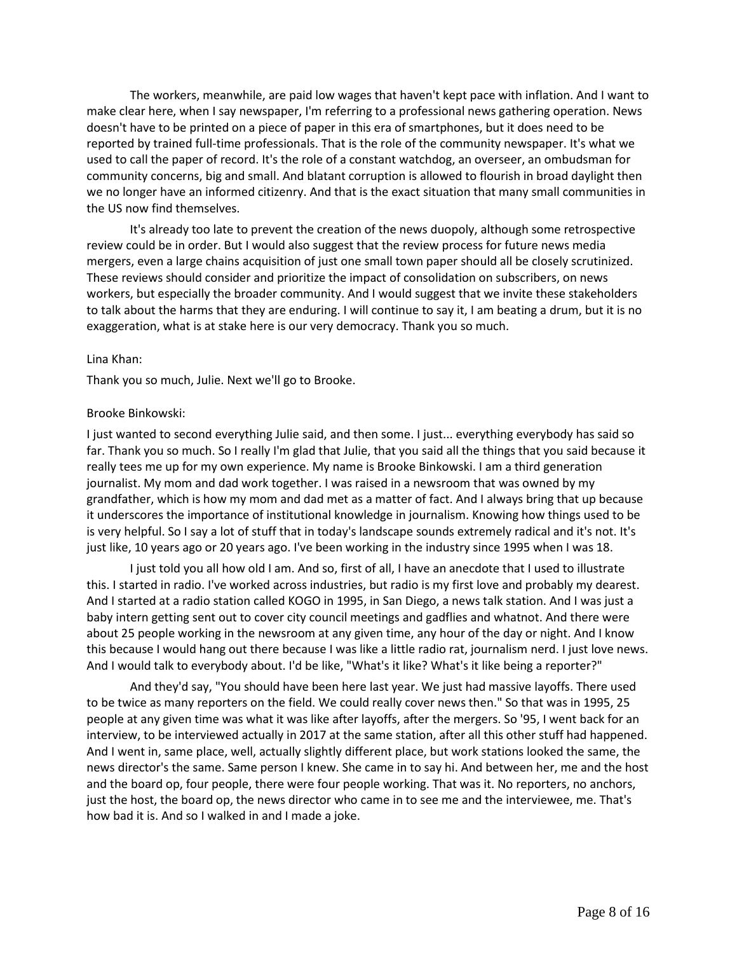The workers, meanwhile, are paid low wages that haven't kept pace with inflation. And I want to make clear here, when I say newspaper, I'm referring to a professional news gathering operation. News doesn't have to be printed on a piece of paper in this era of smartphones, but it does need to be reported by trained full-time professionals. That is the role of the community newspaper. It's what we used to call the paper of record. It's the role of a constant watchdog, an overseer, an ombudsman for community concerns, big and small. And blatant corruption is allowed to flourish in broad daylight then we no longer have an informed citizenry. And that is the exact situation that many small communities in the US now find themselves.

It's already too late to prevent the creation of the news duopoly, although some retrospective review could be in order. But I would also suggest that the review process for future news media mergers, even a large chains acquisition of just one small town paper should all be closely scrutinized. These reviews should consider and prioritize the impact of consolidation on subscribers, on news workers, but especially the broader community. And I would suggest that we invite these stakeholders to talk about the harms that they are enduring. I will continue to say it, I am beating a drum, but it is no exaggeration, what is at stake here is our very democracy. Thank you so much.

#### Lina Khan:

Thank you so much, Julie. Next we'll go to Brooke.

## Brooke Binkowski:

I just wanted to second everything Julie said, and then some. I just... everything everybody has said so far. Thank you so much. So I really I'm glad that Julie, that you said all the things that you said because it really tees me up for my own experience. My name is Brooke Binkowski. I am a third generation journalist. My mom and dad work together. I was raised in a newsroom that was owned by my grandfather, which is how my mom and dad met as a matter of fact. And I always bring that up because it underscores the importance of institutional knowledge in journalism. Knowing how things used to be is very helpful. So I say a lot of stuff that in today's landscape sounds extremely radical and it's not. It's just like, 10 years ago or 20 years ago. I've been working in the industry since 1995 when I was 18.

I just told you all how old I am. And so, first of all, I have an anecdote that I used to illustrate this. I started in radio. I've worked across industries, but radio is my first love and probably my dearest. And I started at a radio station called KOGO in 1995, in San Diego, a news talk station. And I was just a baby intern getting sent out to cover city council meetings and gadflies and whatnot. And there were about 25 people working in the newsroom at any given time, any hour of the day or night. And I know this because I would hang out there because I was like a little radio rat, journalism nerd. I just love news. And I would talk to everybody about. I'd be like, "What's it like? What's it like being a reporter?"

And they'd say, "You should have been here last year. We just had massive layoffs. There used to be twice as many reporters on the field. We could really cover news then." So that was in 1995, 25 people at any given time was what it was like after layoffs, after the mergers. So '95, I went back for an interview, to be interviewed actually in 2017 at the same station, after all this other stuff had happened. And I went in, same place, well, actually slightly different place, but work stations looked the same, the news director's the same. Same person I knew. She came in to say hi. And between her, me and the host and the board op, four people, there were four people working. That was it. No reporters, no anchors, just the host, the board op, the news director who came in to see me and the interviewee, me. That's how bad it is. And so I walked in and I made a joke.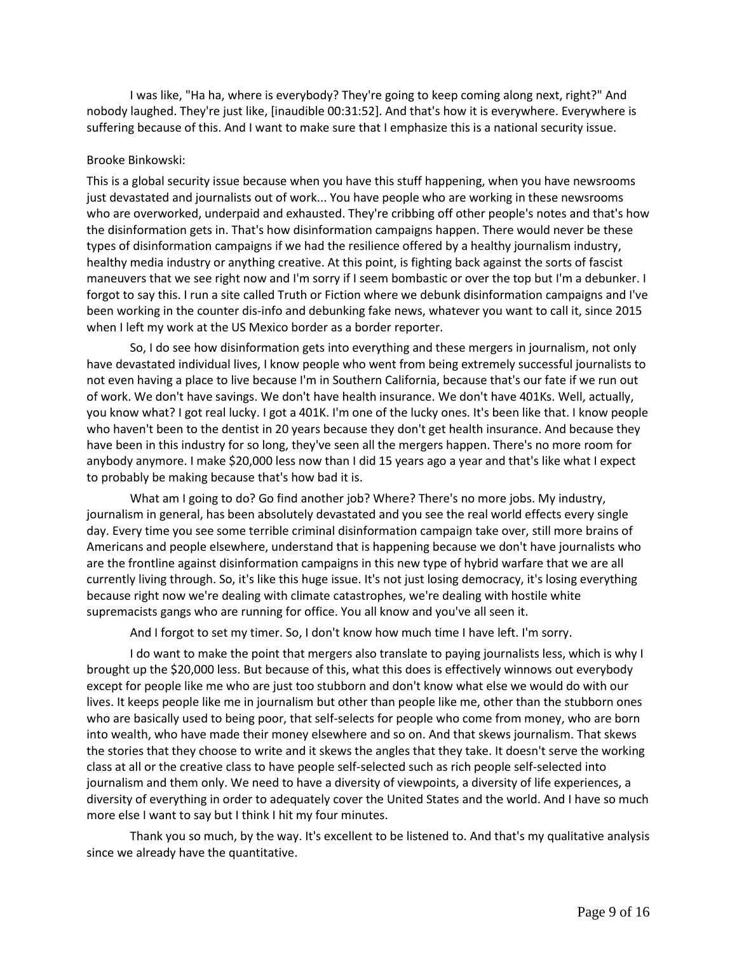I was like, "Ha ha, where is everybody? They're going to keep coming along next, right?" And nobody laughed. They're just like, [inaudible 00:31:52]. And that's how it is everywhere. Everywhere is suffering because of this. And I want to make sure that I emphasize this is a national security issue.

## Brooke Binkowski:

This is a global security issue because when you have this stuff happening, when you have newsrooms just devastated and journalists out of work... You have people who are working in these newsrooms who are overworked, underpaid and exhausted. They're cribbing off other people's notes and that's how the disinformation gets in. That's how disinformation campaigns happen. There would never be these types of disinformation campaigns if we had the resilience offered by a healthy journalism industry, healthy media industry or anything creative. At this point, is fighting back against the sorts of fascist maneuvers that we see right now and I'm sorry if I seem bombastic or over the top but I'm a debunker. I forgot to say this. I run a site called Truth or Fiction where we debunk disinformation campaigns and I've been working in the counter dis-info and debunking fake news, whatever you want to call it, since 2015 when I left my work at the US Mexico border as a border reporter.

So, I do see how disinformation gets into everything and these mergers in journalism, not only have devastated individual lives, I know people who went from being extremely successful journalists to not even having a place to live because I'm in Southern California, because that's our fate if we run out of work. We don't have savings. We don't have health insurance. We don't have 401Ks. Well, actually, you know what? I got real lucky. I got a 401K. I'm one of the lucky ones. It's been like that. I know people who haven't been to the dentist in 20 years because they don't get health insurance. And because they have been in this industry for so long, they've seen all the mergers happen. There's no more room for anybody anymore. I make \$20,000 less now than I did 15 years ago a year and that's like what I expect to probably be making because that's how bad it is.

What am I going to do? Go find another job? Where? There's no more jobs. My industry, journalism in general, has been absolutely devastated and you see the real world effects every single day. Every time you see some terrible criminal disinformation campaign take over, still more brains of Americans and people elsewhere, understand that is happening because we don't have journalists who are the frontline against disinformation campaigns in this new type of hybrid warfare that we are all currently living through. So, it's like this huge issue. It's not just losing democracy, it's losing everything because right now we're dealing with climate catastrophes, we're dealing with hostile white supremacists gangs who are running for office. You all know and you've all seen it.

And I forgot to set my timer. So, I don't know how much time I have left. I'm sorry.

I do want to make the point that mergers also translate to paying journalists less, which is why I brought up the \$20,000 less. But because of this, what this does is effectively winnows out everybody except for people like me who are just too stubborn and don't know what else we would do with our lives. It keeps people like me in journalism but other than people like me, other than the stubborn ones who are basically used to being poor, that self-selects for people who come from money, who are born into wealth, who have made their money elsewhere and so on. And that skews journalism. That skews the stories that they choose to write and it skews the angles that they take. It doesn't serve the working class at all or the creative class to have people self-selected such as rich people self-selected into journalism and them only. We need to have a diversity of viewpoints, a diversity of life experiences, a diversity of everything in order to adequately cover the United States and the world. And I have so much more else I want to say but I think I hit my four minutes.

Thank you so much, by the way. It's excellent to be listened to. And that's my qualitative analysis since we already have the quantitative.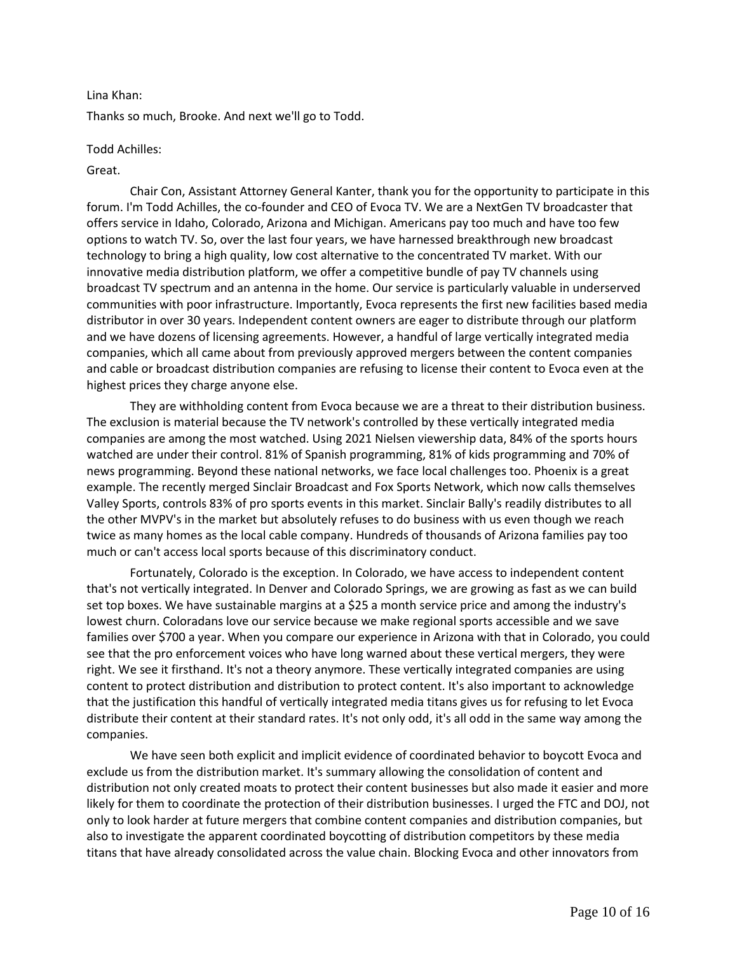## Lina Khan:

Thanks so much, Brooke. And next we'll go to Todd.

## Todd Achilles:

## Great.

Chair Con, Assistant Attorney General Kanter, thank you for the opportunity to participate in this forum. I'm Todd Achilles, the co-founder and CEO of Evoca TV. We are a NextGen TV broadcaster that offers service in Idaho, Colorado, Arizona and Michigan. Americans pay too much and have too few options to watch TV. So, over the last four years, we have harnessed breakthrough new broadcast technology to bring a high quality, low cost alternative to the concentrated TV market. With our innovative media distribution platform, we offer a competitive bundle of pay TV channels using broadcast TV spectrum and an antenna in the home. Our service is particularly valuable in underserved communities with poor infrastructure. Importantly, Evoca represents the first new facilities based media distributor in over 30 years. Independent content owners are eager to distribute through our platform and we have dozens of licensing agreements. However, a handful of large vertically integrated media companies, which all came about from previously approved mergers between the content companies and cable or broadcast distribution companies are refusing to license their content to Evoca even at the highest prices they charge anyone else.

They are withholding content from Evoca because we are a threat to their distribution business. The exclusion is material because the TV network's controlled by these vertically integrated media companies are among the most watched. Using 2021 Nielsen viewership data, 84% of the sports hours watched are under their control. 81% of Spanish programming, 81% of kids programming and 70% of news programming. Beyond these national networks, we face local challenges too. Phoenix is a great example. The recently merged Sinclair Broadcast and Fox Sports Network, which now calls themselves Valley Sports, controls 83% of pro sports events in this market. Sinclair Bally's readily distributes to all the other MVPV's in the market but absolutely refuses to do business with us even though we reach twice as many homes as the local cable company. Hundreds of thousands of Arizona families pay too much or can't access local sports because of this discriminatory conduct.

Fortunately, Colorado is the exception. In Colorado, we have access to independent content that's not vertically integrated. In Denver and Colorado Springs, we are growing as fast as we can build set top boxes. We have sustainable margins at a \$25 a month service price and among the industry's lowest churn. Coloradans love our service because we make regional sports accessible and we save families over \$700 a year. When you compare our experience in Arizona with that in Colorado, you could see that the pro enforcement voices who have long warned about these vertical mergers, they were right. We see it firsthand. It's not a theory anymore. These vertically integrated companies are using content to protect distribution and distribution to protect content. It's also important to acknowledge that the justification this handful of vertically integrated media titans gives us for refusing to let Evoca distribute their content at their standard rates. It's not only odd, it's all odd in the same way among the companies.

We have seen both explicit and implicit evidence of coordinated behavior to boycott Evoca and exclude us from the distribution market. It's summary allowing the consolidation of content and distribution not only created moats to protect their content businesses but also made it easier and more likely for them to coordinate the protection of their distribution businesses. I urged the FTC and DOJ, not only to look harder at future mergers that combine content companies and distribution companies, but also to investigate the apparent coordinated boycotting of distribution competitors by these media titans that have already consolidated across the value chain. Blocking Evoca and other innovators from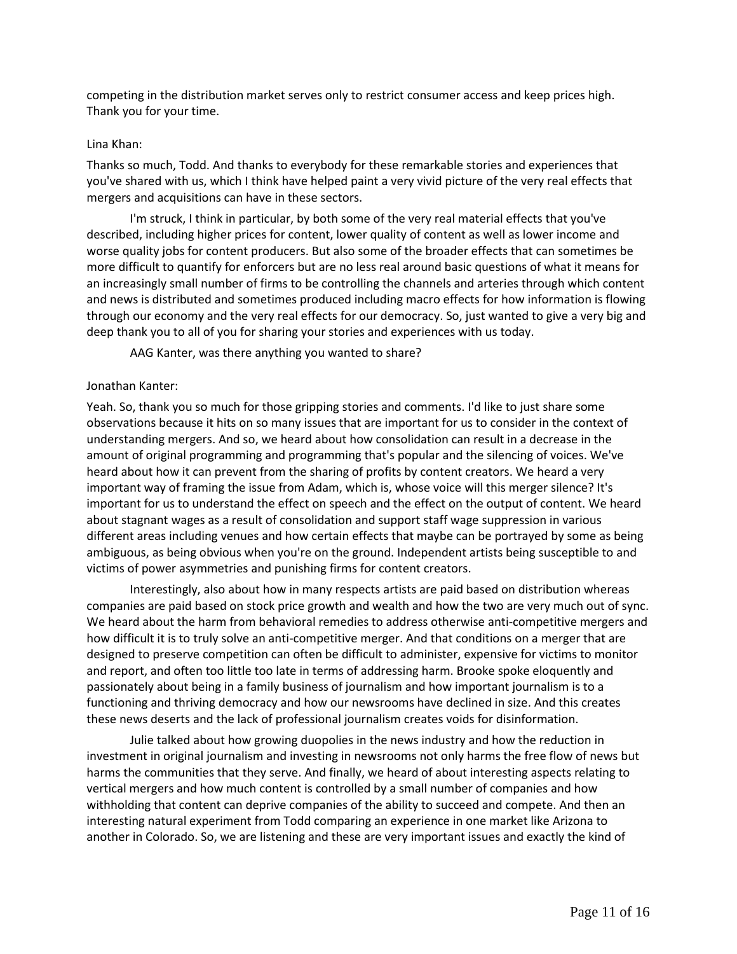competing in the distribution market serves only to restrict consumer access and keep prices high. Thank you for your time.

## Lina Khan:

Thanks so much, Todd. And thanks to everybody for these remarkable stories and experiences that you've shared with us, which I think have helped paint a very vivid picture of the very real effects that mergers and acquisitions can have in these sectors.

I'm struck, I think in particular, by both some of the very real material effects that you've described, including higher prices for content, lower quality of content as well as lower income and worse quality jobs for content producers. But also some of the broader effects that can sometimes be more difficult to quantify for enforcers but are no less real around basic questions of what it means for an increasingly small number of firms to be controlling the channels and arteries through which content and news is distributed and sometimes produced including macro effects for how information is flowing through our economy and the very real effects for our democracy. So, just wanted to give a very big and deep thank you to all of you for sharing your stories and experiences with us today.

AAG Kanter, was there anything you wanted to share?

# Jonathan Kanter:

Yeah. So, thank you so much for those gripping stories and comments. I'd like to just share some observations because it hits on so many issues that are important for us to consider in the context of understanding mergers. And so, we heard about how consolidation can result in a decrease in the amount of original programming and programming that's popular and the silencing of voices. We've heard about how it can prevent from the sharing of profits by content creators. We heard a very important way of framing the issue from Adam, which is, whose voice will this merger silence? It's important for us to understand the effect on speech and the effect on the output of content. We heard about stagnant wages as a result of consolidation and support staff wage suppression in various different areas including venues and how certain effects that maybe can be portrayed by some as being ambiguous, as being obvious when you're on the ground. Independent artists being susceptible to and victims of power asymmetries and punishing firms for content creators.

Interestingly, also about how in many respects artists are paid based on distribution whereas companies are paid based on stock price growth and wealth and how the two are very much out of sync. We heard about the harm from behavioral remedies to address otherwise anti-competitive mergers and how difficult it is to truly solve an anti-competitive merger. And that conditions on a merger that are designed to preserve competition can often be difficult to administer, expensive for victims to monitor and report, and often too little too late in terms of addressing harm. Brooke spoke eloquently and passionately about being in a family business of journalism and how important journalism is to a functioning and thriving democracy and how our newsrooms have declined in size. And this creates these news deserts and the lack of professional journalism creates voids for disinformation.

Julie talked about how growing duopolies in the news industry and how the reduction in investment in original journalism and investing in newsrooms not only harms the free flow of news but harms the communities that they serve. And finally, we heard of about interesting aspects relating to vertical mergers and how much content is controlled by a small number of companies and how withholding that content can deprive companies of the ability to succeed and compete. And then an interesting natural experiment from Todd comparing an experience in one market like Arizona to another in Colorado. So, we are listening and these are very important issues and exactly the kind of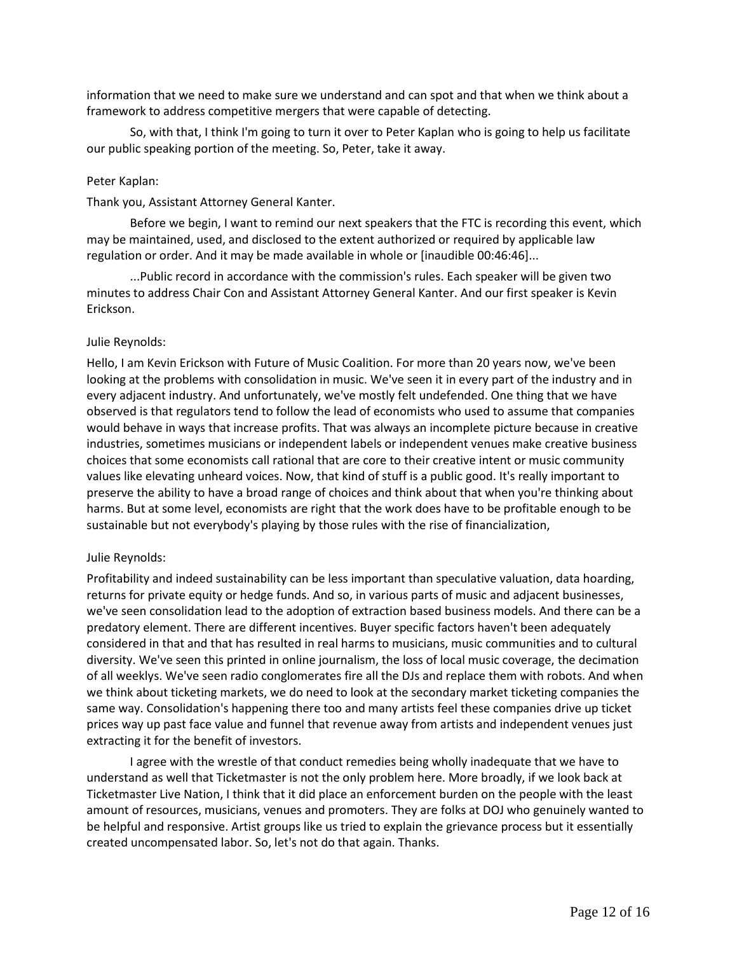information that we need to make sure we understand and can spot and that when we think about a framework to address competitive mergers that were capable of detecting.

So, with that, I think I'm going to turn it over to Peter Kaplan who is going to help us facilitate our public speaking portion of the meeting. So, Peter, take it away.

#### Peter Kaplan:

Thank you, Assistant Attorney General Kanter.

Before we begin, I want to remind our next speakers that the FTC is recording this event, which may be maintained, used, and disclosed to the extent authorized or required by applicable law regulation or order. And it may be made available in whole or [inaudible 00:46:46]...

...Public record in accordance with the commission's rules. Each speaker will be given two minutes to address Chair Con and Assistant Attorney General Kanter. And our first speaker is Kevin Erickson.

#### Julie Reynolds:

Hello, I am Kevin Erickson with Future of Music Coalition. For more than 20 years now, we've been looking at the problems with consolidation in music. We've seen it in every part of the industry and in every adjacent industry. And unfortunately, we've mostly felt undefended. One thing that we have observed is that regulators tend to follow the lead of economists who used to assume that companies would behave in ways that increase profits. That was always an incomplete picture because in creative industries, sometimes musicians or independent labels or independent venues make creative business choices that some economists call rational that are core to their creative intent or music community values like elevating unheard voices. Now, that kind of stuff is a public good. It's really important to preserve the ability to have a broad range of choices and think about that when you're thinking about harms. But at some level, economists are right that the work does have to be profitable enough to be sustainable but not everybody's playing by those rules with the rise of financialization,

#### Julie Reynolds:

Profitability and indeed sustainability can be less important than speculative valuation, data hoarding, returns for private equity or hedge funds. And so, in various parts of music and adjacent businesses, we've seen consolidation lead to the adoption of extraction based business models. And there can be a predatory element. There are different incentives. Buyer specific factors haven't been adequately considered in that and that has resulted in real harms to musicians, music communities and to cultural diversity. We've seen this printed in online journalism, the loss of local music coverage, the decimation of all weeklys. We've seen radio conglomerates fire all the DJs and replace them with robots. And when we think about ticketing markets, we do need to look at the secondary market ticketing companies the same way. Consolidation's happening there too and many artists feel these companies drive up ticket prices way up past face value and funnel that revenue away from artists and independent venues just extracting it for the benefit of investors.

I agree with the wrestle of that conduct remedies being wholly inadequate that we have to understand as well that Ticketmaster is not the only problem here. More broadly, if we look back at Ticketmaster Live Nation, I think that it did place an enforcement burden on the people with the least amount of resources, musicians, venues and promoters. They are folks at DOJ who genuinely wanted to be helpful and responsive. Artist groups like us tried to explain the grievance process but it essentially created uncompensated labor. So, let's not do that again. Thanks.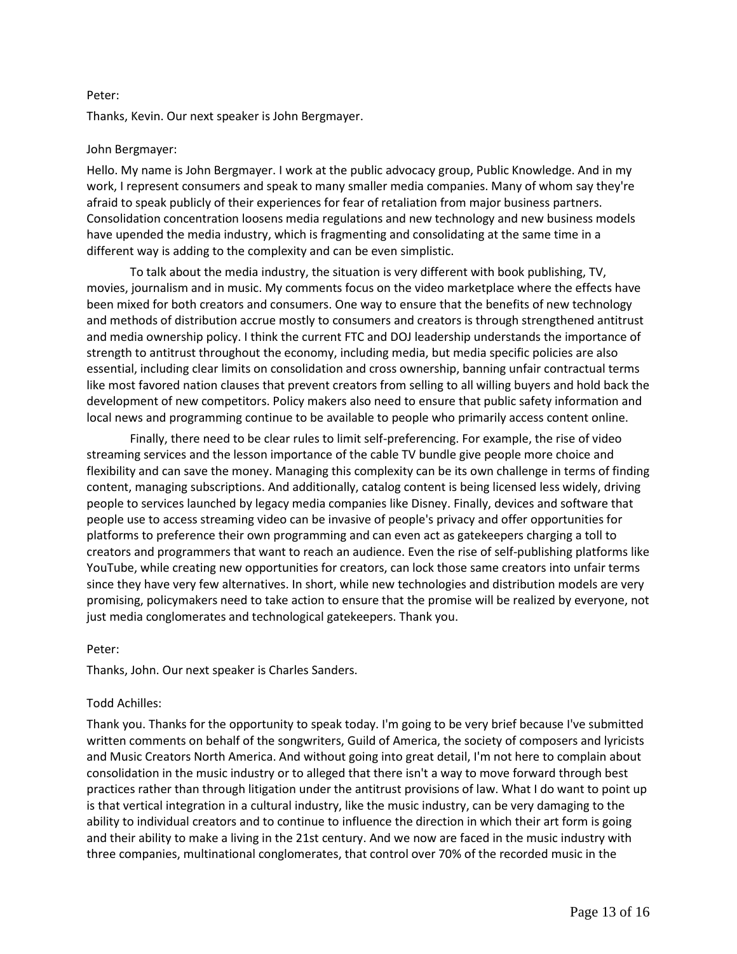## Peter:

Thanks, Kevin. Our next speaker is John Bergmayer.

## John Bergmayer:

Hello. My name is John Bergmayer. I work at the public advocacy group, Public Knowledge. And in my work, I represent consumers and speak to many smaller media companies. Many of whom say they're afraid to speak publicly of their experiences for fear of retaliation from major business partners. Consolidation concentration loosens media regulations and new technology and new business models have upended the media industry, which is fragmenting and consolidating at the same time in a different way is adding to the complexity and can be even simplistic.

To talk about the media industry, the situation is very different with book publishing, TV, movies, journalism and in music. My comments focus on the video marketplace where the effects have been mixed for both creators and consumers. One way to ensure that the benefits of new technology and methods of distribution accrue mostly to consumers and creators is through strengthened antitrust and media ownership policy. I think the current FTC and DOJ leadership understands the importance of strength to antitrust throughout the economy, including media, but media specific policies are also essential, including clear limits on consolidation and cross ownership, banning unfair contractual terms like most favored nation clauses that prevent creators from selling to all willing buyers and hold back the development of new competitors. Policy makers also need to ensure that public safety information and local news and programming continue to be available to people who primarily access content online.

Finally, there need to be clear rules to limit self-preferencing. For example, the rise of video streaming services and the lesson importance of the cable TV bundle give people more choice and flexibility and can save the money. Managing this complexity can be its own challenge in terms of finding content, managing subscriptions. And additionally, catalog content is being licensed less widely, driving people to services launched by legacy media companies like Disney. Finally, devices and software that people use to access streaming video can be invasive of people's privacy and offer opportunities for platforms to preference their own programming and can even act as gatekeepers charging a toll to creators and programmers that want to reach an audience. Even the rise of self-publishing platforms like YouTube, while creating new opportunities for creators, can lock those same creators into unfair terms since they have very few alternatives. In short, while new technologies and distribution models are very promising, policymakers need to take action to ensure that the promise will be realized by everyone, not just media conglomerates and technological gatekeepers. Thank you.

#### Peter:

Thanks, John. Our next speaker is Charles Sanders.

# Todd Achilles:

Thank you. Thanks for the opportunity to speak today. I'm going to be very brief because I've submitted written comments on behalf of the songwriters, Guild of America, the society of composers and lyricists and Music Creators North America. And without going into great detail, I'm not here to complain about consolidation in the music industry or to alleged that there isn't a way to move forward through best practices rather than through litigation under the antitrust provisions of law. What I do want to point up is that vertical integration in a cultural industry, like the music industry, can be very damaging to the ability to individual creators and to continue to influence the direction in which their art form is going and their ability to make a living in the 21st century. And we now are faced in the music industry with three companies, multinational conglomerates, that control over 70% of the recorded music in the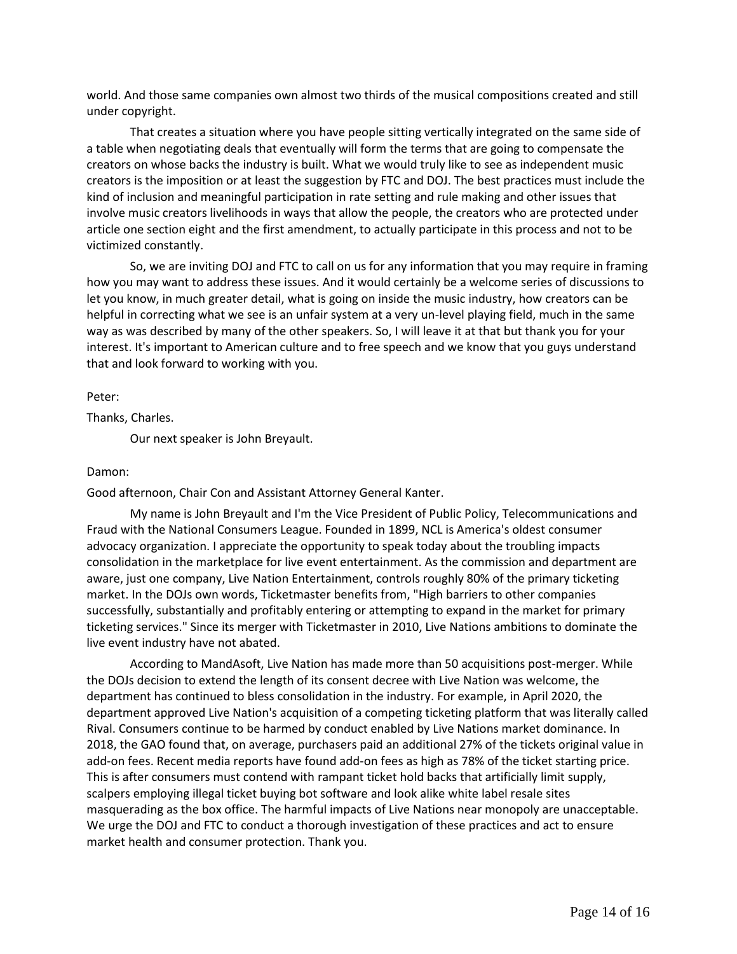world. And those same companies own almost two thirds of the musical compositions created and still under copyright.

That creates a situation where you have people sitting vertically integrated on the same side of a table when negotiating deals that eventually will form the terms that are going to compensate the creators on whose backs the industry is built. What we would truly like to see as independent music creators is the imposition or at least the suggestion by FTC and DOJ. The best practices must include the kind of inclusion and meaningful participation in rate setting and rule making and other issues that involve music creators livelihoods in ways that allow the people, the creators who are protected under article one section eight and the first amendment, to actually participate in this process and not to be victimized constantly.

So, we are inviting DOJ and FTC to call on us for any information that you may require in framing how you may want to address these issues. And it would certainly be a welcome series of discussions to let you know, in much greater detail, what is going on inside the music industry, how creators can be helpful in correcting what we see is an unfair system at a very un-level playing field, much in the same way as was described by many of the other speakers. So, I will leave it at that but thank you for your interest. It's important to American culture and to free speech and we know that you guys understand that and look forward to working with you.

Peter:

Thanks, Charles.

Our next speaker is John Breyault.

## Damon:

Good afternoon, Chair Con and Assistant Attorney General Kanter.

My name is John Breyault and I'm the Vice President of Public Policy, Telecommunications and Fraud with the National Consumers League. Founded in 1899, NCL is America's oldest consumer advocacy organization. I appreciate the opportunity to speak today about the troubling impacts consolidation in the marketplace for live event entertainment. As the commission and department are aware, just one company, Live Nation Entertainment, controls roughly 80% of the primary ticketing market. In the DOJs own words, Ticketmaster benefits from, "High barriers to other companies successfully, substantially and profitably entering or attempting to expand in the market for primary ticketing services." Since its merger with Ticketmaster in 2010, Live Nations ambitions to dominate the live event industry have not abated.

According to MandAsoft, Live Nation has made more than 50 acquisitions post-merger. While the DOJs decision to extend the length of its consent decree with Live Nation was welcome, the department has continued to bless consolidation in the industry. For example, in April 2020, the department approved Live Nation's acquisition of a competing ticketing platform that was literally called Rival. Consumers continue to be harmed by conduct enabled by Live Nations market dominance. In 2018, the GAO found that, on average, purchasers paid an additional 27% of the tickets original value in add-on fees. Recent media reports have found add-on fees as high as 78% of the ticket starting price. This is after consumers must contend with rampant ticket hold backs that artificially limit supply, scalpers employing illegal ticket buying bot software and look alike white label resale sites masquerading as the box office. The harmful impacts of Live Nations near monopoly are unacceptable. We urge the DOJ and FTC to conduct a thorough investigation of these practices and act to ensure market health and consumer protection. Thank you.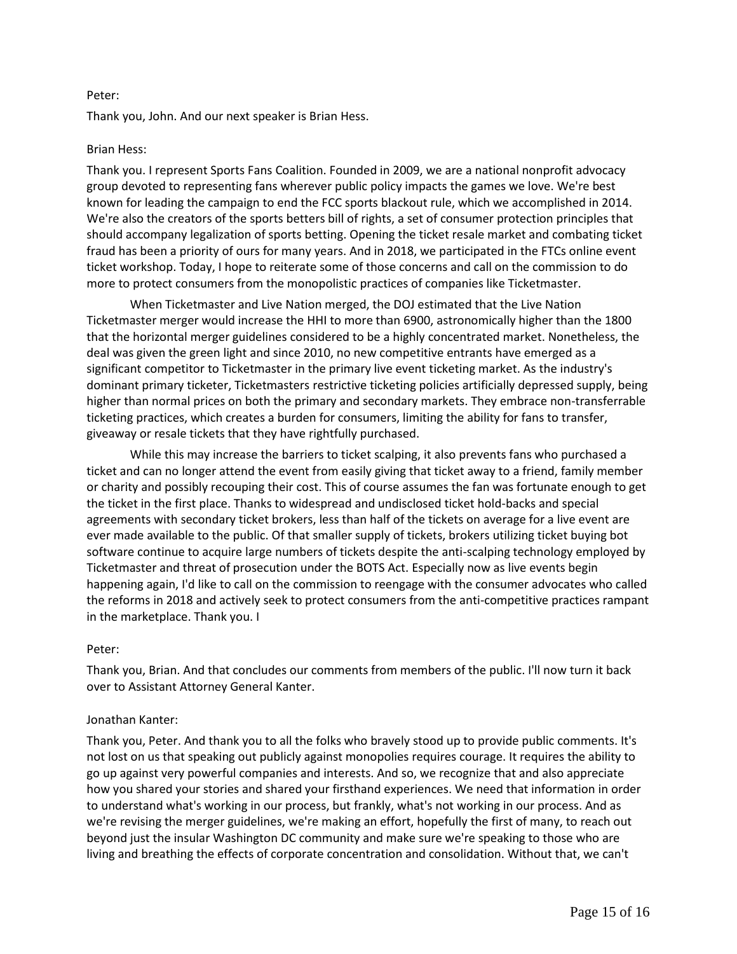## Peter:

Thank you, John. And our next speaker is Brian Hess.

## Brian Hess:

Thank you. I represent Sports Fans Coalition. Founded in 2009, we are a national nonprofit advocacy group devoted to representing fans wherever public policy impacts the games we love. We're best known for leading the campaign to end the FCC sports blackout rule, which we accomplished in 2014. We're also the creators of the sports betters bill of rights, a set of consumer protection principles that should accompany legalization of sports betting. Opening the ticket resale market and combating ticket fraud has been a priority of ours for many years. And in 2018, we participated in the FTCs online event ticket workshop. Today, I hope to reiterate some of those concerns and call on the commission to do more to protect consumers from the monopolistic practices of companies like Ticketmaster.

When Ticketmaster and Live Nation merged, the DOJ estimated that the Live Nation Ticketmaster merger would increase the HHI to more than 6900, astronomically higher than the 1800 that the horizontal merger guidelines considered to be a highly concentrated market. Nonetheless, the deal was given the green light and since 2010, no new competitive entrants have emerged as a significant competitor to Ticketmaster in the primary live event ticketing market. As the industry's dominant primary ticketer, Ticketmasters restrictive ticketing policies artificially depressed supply, being higher than normal prices on both the primary and secondary markets. They embrace non-transferrable ticketing practices, which creates a burden for consumers, limiting the ability for fans to transfer, giveaway or resale tickets that they have rightfully purchased.

While this may increase the barriers to ticket scalping, it also prevents fans who purchased a ticket and can no longer attend the event from easily giving that ticket away to a friend, family member or charity and possibly recouping their cost. This of course assumes the fan was fortunate enough to get the ticket in the first place. Thanks to widespread and undisclosed ticket hold-backs and special agreements with secondary ticket brokers, less than half of the tickets on average for a live event are ever made available to the public. Of that smaller supply of tickets, brokers utilizing ticket buying bot software continue to acquire large numbers of tickets despite the anti-scalping technology employed by Ticketmaster and threat of prosecution under the BOTS Act. Especially now as live events begin happening again, I'd like to call on the commission to reengage with the consumer advocates who called the reforms in 2018 and actively seek to protect consumers from the anti-competitive practices rampant in the marketplace. Thank you. I

# Peter:

Thank you, Brian. And that concludes our comments from members of the public. I'll now turn it back over to Assistant Attorney General Kanter.

# Jonathan Kanter:

Thank you, Peter. And thank you to all the folks who bravely stood up to provide public comments. It's not lost on us that speaking out publicly against monopolies requires courage. It requires the ability to go up against very powerful companies and interests. And so, we recognize that and also appreciate how you shared your stories and shared your firsthand experiences. We need that information in order to understand what's working in our process, but frankly, what's not working in our process. And as we're revising the merger guidelines, we're making an effort, hopefully the first of many, to reach out beyond just the insular Washington DC community and make sure we're speaking to those who are living and breathing the effects of corporate concentration and consolidation. Without that, we can't